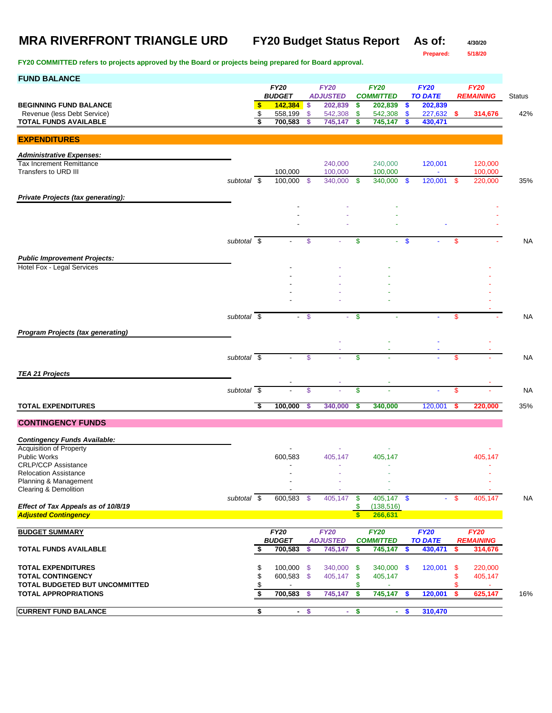**Prepared: 5/18/20**

| <b>FUND BALANCE</b>                                                |                          |          |                              |        |                                |                    |                                 |                           |                               |           |                    |               |
|--------------------------------------------------------------------|--------------------------|----------|------------------------------|--------|--------------------------------|--------------------|---------------------------------|---------------------------|-------------------------------|-----------|--------------------|---------------|
|                                                                    |                          |          | <b>FY20</b><br><b>BUDGET</b> |        | <b>FY20</b><br><b>ADJUSTED</b> |                    | <b>FY20</b><br><b>COMMITTED</b> |                           | <b>FY20</b><br><b>TO DATE</b> |           | <b>FY20</b>        |               |
| <b>BEGINNING FUND BALANCE</b>                                      |                          | \$       | 142,384                      | -\$    | 202,839                        | \$                 | 202,839                         | \$                        | 202,839                       |           | <b>REMAINING</b>   | <b>Status</b> |
| Revenue (less Debt Service)                                        |                          | \$       | 558,199                      | \$     | 542,308                        | \$                 | 542,308                         | <b>S</b>                  | 227,632                       | \$        | 314,676            | 42%           |
| <b>TOTAL FUNDS AVAILABLE</b>                                       |                          | \$       | 700,583                      | S      | 745,147                        | \$                 | 745,147                         | S                         | 430,471                       |           |                    |               |
| <b>EXPENDITURES</b>                                                |                          |          |                              |        |                                |                    |                                 |                           |                               |           |                    |               |
|                                                                    |                          |          |                              |        |                                |                    |                                 |                           |                               |           |                    |               |
| <b>Administrative Expenses:</b>                                    |                          |          |                              |        |                                |                    |                                 |                           |                               |           |                    |               |
| <b>Tax Increment Remittance</b>                                    |                          |          |                              |        | 240,000                        |                    | 240,000                         |                           | 120,001                       |           | 120,000            |               |
| Transfers to URD III                                               | subtotal \$              |          | 100,000<br>100,000           | - \$   | 100,000<br>340,000             | \$                 | 100,000<br>340,000              | $\mathbf{\$}$             | $\blacksquare$<br>120,001     | - \$      | 100.000<br>220,000 | 35%           |
|                                                                    |                          |          |                              |        |                                |                    |                                 |                           |                               |           |                    |               |
| Private Projects (tax generating):                                 |                          |          |                              |        |                                |                    |                                 |                           |                               |           |                    |               |
|                                                                    |                          |          |                              |        |                                |                    |                                 |                           |                               |           |                    |               |
|                                                                    |                          |          |                              |        |                                |                    |                                 |                           |                               |           |                    |               |
|                                                                    |                          |          |                              |        |                                |                    |                                 |                           |                               |           |                    |               |
|                                                                    | subtotal \$              |          |                              | \$     |                                | \$                 | a.                              | -\$                       |                               | \$        |                    | <b>NA</b>     |
|                                                                    |                          |          |                              |        |                                |                    |                                 |                           |                               |           |                    |               |
| <b>Public Improvement Projects:</b>                                |                          |          |                              |        |                                |                    |                                 |                           |                               |           |                    |               |
| <b>Hotel Fox - Legal Services</b>                                  |                          |          |                              |        |                                |                    |                                 |                           |                               |           |                    |               |
|                                                                    |                          |          |                              |        |                                |                    |                                 |                           |                               |           |                    |               |
|                                                                    |                          |          |                              |        |                                |                    |                                 |                           |                               |           |                    |               |
|                                                                    |                          |          |                              |        |                                |                    |                                 |                           |                               |           |                    |               |
|                                                                    |                          |          |                              |        |                                |                    |                                 |                           |                               |           |                    |               |
|                                                                    | subtotal $\overline{\$}$ |          | $\blacksquare$               | - \$   |                                | \$                 |                                 |                           |                               | \$        |                    | NA            |
| <b>Program Projects (tax generating)</b>                           |                          |          |                              |        |                                |                    |                                 |                           |                               |           |                    |               |
|                                                                    |                          |          |                              |        |                                |                    |                                 |                           |                               |           |                    |               |
|                                                                    |                          |          |                              |        |                                |                    |                                 |                           |                               |           |                    |               |
|                                                                    | subtotal $\sqrt{s}$      |          |                              | \$     |                                | \$                 |                                 |                           |                               | \$        |                    | <b>NA</b>     |
| <b>TEA 21 Projects</b>                                             |                          |          |                              |        |                                |                    |                                 |                           |                               |           |                    |               |
|                                                                    |                          |          |                              |        |                                |                    |                                 |                           |                               |           |                    |               |
|                                                                    | subtotal \$              |          |                              | \$     |                                | \$                 |                                 |                           |                               | \$        |                    | <b>NA</b>     |
| <b>TOTAL EXPENDITURES</b>                                          |                          | Ŝ,       | 100,000                      | s      | 340,000                        | \$                 | 340,000                         |                           | 120,001                       | \$        | 220,000            | 35%           |
|                                                                    |                          |          |                              |        |                                |                    |                                 |                           |                               |           |                    |               |
| <b>CONTINGENCY FUNDS</b>                                           |                          |          |                              |        |                                |                    |                                 |                           |                               |           |                    |               |
| <b>Contingency Funds Available:</b>                                |                          |          |                              |        |                                |                    |                                 |                           |                               |           |                    |               |
| <b>Acquisition of Property</b>                                     |                          |          |                              |        |                                |                    |                                 |                           |                               |           |                    |               |
| <b>Public Works</b>                                                |                          |          | 600,583                      |        | 405,147                        |                    | 405,147                         |                           |                               |           | 405,147            |               |
| <b>CRLP/CCP Assistance</b>                                         |                          |          |                              |        |                                |                    |                                 |                           |                               |           |                    |               |
| <b>Relocation Assistance</b><br>Planning & Management              |                          |          |                              |        |                                |                    |                                 |                           |                               |           |                    |               |
| Clearing & Demolition                                              |                          |          |                              |        |                                |                    |                                 |                           |                               |           |                    |               |
|                                                                    | subtotal $\sqrt{s}$      |          | 600,583 \$                   |        | 405,147                        | \$                 | 405,147                         | $\sqrt[6]{3}$             |                               | $-$ \$    | 405,147            | <b>NA</b>     |
| Effect of Tax Appeals as of 10/8/19<br><b>Adjusted Contingency</b> |                          |          |                              |        |                                | \$<br>$\mathbf{s}$ | (138, 516)<br>266,631           |                           |                               |           |                    |               |
|                                                                    |                          |          |                              |        |                                |                    |                                 |                           |                               |           |                    |               |
| <b>BUDGET SUMMARY</b>                                              |                          |          | <b>FY20</b>                  |        | <b>FY20</b>                    |                    | <b>FY20</b>                     |                           | <b>FY20</b>                   |           | <b>FY20</b>        |               |
|                                                                    |                          |          | <b>BUDGET</b>                |        | <b>ADJUSTED</b>                |                    | <b>COMMITTED</b>                |                           | <b>TO DATE</b>                |           | <b>REMAINING</b>   |               |
| <b>TOTAL FUNDS AVAILABLE</b>                                       |                          | \$       | 700,583                      | \$     | 745,147                        | \$                 | 745,147                         | \$                        | 430,471                       | \$        | 314,676            |               |
|                                                                    |                          |          |                              |        |                                |                    |                                 |                           |                               |           |                    |               |
| <b>TOTAL EXPENDITURES</b><br><b>TOTAL CONTINGENCY</b>              |                          | \$<br>\$ | 100,000 \$<br>600,583 \$     |        | 340,000<br>405,147             | -S<br>\$           | 340,000 \$<br>405,147           |                           | 120,001                       | -\$<br>\$ | 220,000<br>405,147 |               |
| TOTAL BUDGETED BUT UNCOMMITTED                                     |                          | \$       |                              |        |                                | S.                 |                                 |                           |                               | \$        |                    |               |
| <b>TOTAL APPROPRIATIONS</b>                                        |                          | \$       | 700,583                      | \$     | 745,147                        | \$                 | 745,147                         | $\boldsymbol{\mathsf{s}}$ | 120,001                       | \$        | 625,147            | 16%           |
|                                                                    |                          |          |                              |        |                                |                    |                                 |                           |                               |           |                    |               |
| <b>CURRENT FUND BALANCE</b>                                        |                          | \$       |                              | $-$ \$ |                                | $-$ \$             |                                 | $-$ \$                    | 310,470                       |           |                    |               |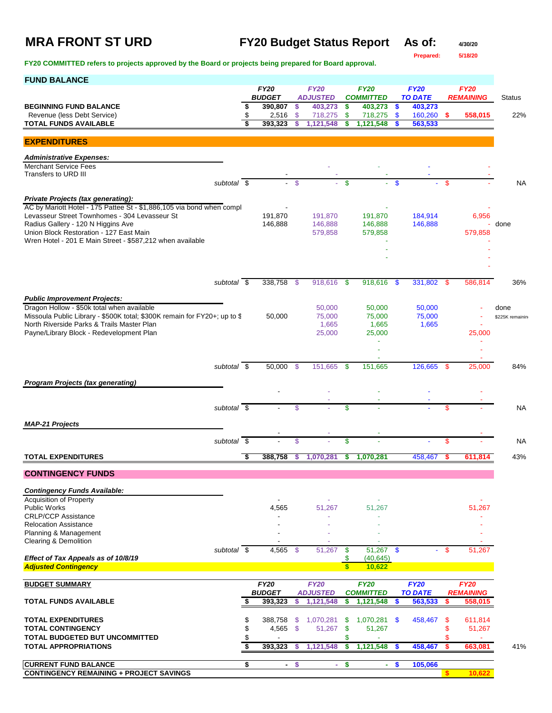## **MRA FRONT ST URD FY20 Budget Status Report As of: 4/30/20**

**Prepared: 5/18/20**

| <b>FUND BALANCE</b>                                                                                                     |                          |                              |     |                                |                         |                                 |        |                               |      |                                 |                 |
|-------------------------------------------------------------------------------------------------------------------------|--------------------------|------------------------------|-----|--------------------------------|-------------------------|---------------------------------|--------|-------------------------------|------|---------------------------------|-----------------|
|                                                                                                                         |                          | <b>FY20</b><br><b>BUDGET</b> |     | <b>FY20</b><br><b>ADJUSTED</b> |                         | <b>FY20</b><br><b>COMMITTED</b> |        | <b>FY20</b><br><b>TO DATE</b> |      | <b>FY20</b><br><b>REMAINING</b> | <b>Status</b>   |
| <b>BEGINNING FUND BALANCE</b>                                                                                           |                          | \$<br>390,807                | \$  | 403,273                        | \$                      | 403,273                         | \$     | 403,273                       |      |                                 |                 |
| Revenue (less Debt Service)                                                                                             |                          | \$<br>2,516<br>393,323       | \$  | 718,275                        | \$                      | 718,275                         | \$     | 160,260                       | -\$  | 558,015                         | 22%             |
| <b>TOTAL FUNDS AVAILABLE</b>                                                                                            |                          |                              | \$  | 1,121,548                      | \$                      | 1,121,548                       | \$     | 563,533                       |      |                                 |                 |
| <b>EXPENDITURES</b>                                                                                                     |                          |                              |     |                                |                         |                                 |        |                               |      |                                 |                 |
| <b>Administrative Expenses:</b>                                                                                         |                          |                              |     |                                |                         |                                 |        |                               |      |                                 |                 |
| <b>Merchant Service Fees</b>                                                                                            |                          |                              |     |                                |                         |                                 |        |                               |      |                                 |                 |
| Transfers to URD III                                                                                                    | subtotal $\overline{\$}$ |                              | \$  |                                | \$                      |                                 | \$     |                               | \$   |                                 | <b>NA</b>       |
|                                                                                                                         |                          |                              |     |                                |                         |                                 |        |                               |      |                                 |                 |
| <b>Private Projects (tax generating):</b><br>AC by Mariott Hotel - 175 Pattee St - \$1,886,105 via bond when compl      |                          |                              |     |                                |                         |                                 |        |                               |      |                                 |                 |
| Levasseur Street Townhomes - 304 Levasseur St                                                                           |                          | 191,870                      |     | 191,870                        |                         | 191,870                         |        | 184,914                       |      | 6,956                           |                 |
| Radius Gallery - 120 N Higgins Ave                                                                                      |                          | 146,888                      |     | 146,888                        |                         | 146,888                         |        | 146,888                       |      |                                 | done            |
| Union Block Restoration - 127 East Main<br>Wren Hotel - 201 E Main Street - \$587,212 when available                    |                          |                              |     | 579,858                        |                         | 579,858                         |        |                               |      | 579,858                         |                 |
|                                                                                                                         |                          |                              |     |                                |                         |                                 |        |                               |      |                                 |                 |
|                                                                                                                         |                          |                              |     |                                |                         |                                 |        |                               |      |                                 |                 |
|                                                                                                                         |                          |                              |     |                                |                         |                                 |        |                               |      |                                 |                 |
|                                                                                                                         | subtotal \$              | 338,758                      | -\$ | 918,616                        | -\$                     | 918,616                         | -\$    | 331,802                       | - \$ | 586,814                         | 36%             |
| <b>Public Improvement Projects:</b>                                                                                     |                          |                              |     |                                |                         |                                 |        |                               |      |                                 |                 |
| Dragon Hollow - \$50k total when available                                                                              |                          |                              |     | 50,000                         |                         | 50,000                          |        | 50,000                        |      |                                 | done            |
| Missoula Public Library - \$500K total; \$300K remain for FY20+; up to \$<br>North Riverside Parks & Trails Master Plan |                          | 50,000                       |     | 75,000<br>1,665                |                         | 75,000<br>1,665                 |        | 75,000<br>1,665               |      |                                 | \$225K remainin |
| Payne/Library Block - Redevelopment Plan                                                                                |                          |                              |     | 25,000                         |                         | 25,000                          |        |                               |      | 25,000                          |                 |
|                                                                                                                         |                          |                              |     |                                |                         |                                 |        |                               |      |                                 |                 |
|                                                                                                                         |                          |                              |     |                                |                         |                                 |        |                               |      |                                 |                 |
|                                                                                                                         | subtotal $\overline{\$}$ | 50,000 \$                    |     | 151,665                        | - \$                    | 151,665                         |        | 126,665                       | -\$  | 25,000                          | 84%             |
|                                                                                                                         |                          |                              |     |                                |                         |                                 |        |                               |      |                                 |                 |
| <b>Program Projects (tax generating)</b>                                                                                |                          |                              |     |                                |                         |                                 |        |                               |      |                                 |                 |
|                                                                                                                         |                          |                              |     |                                |                         |                                 |        |                               |      |                                 |                 |
|                                                                                                                         | subtotal \$              |                              | \$  |                                | \$                      |                                 |        |                               | \$   |                                 | <b>NA</b>       |
| <b>MAP-21 Projects</b>                                                                                                  |                          |                              |     |                                |                         |                                 |        |                               |      |                                 |                 |
|                                                                                                                         | subtotal $\overline{\$}$ |                              | \$  |                                | \$                      |                                 |        |                               | \$   |                                 | NA              |
|                                                                                                                         |                          |                              |     |                                |                         |                                 |        |                               |      |                                 |                 |
| <b>TOTAL EXPENDITURES</b>                                                                                               |                          | \$<br>388,758                | s   | 1,070,281                      | \$                      | 1,070,281                       |        | 458,467                       | s    | 611.814                         | 43%             |
| <b>CONTINGENCY FUNDS</b>                                                                                                |                          |                              |     |                                |                         |                                 |        |                               |      |                                 |                 |
| <b>Contingency Funds Available:</b>                                                                                     |                          |                              |     |                                |                         |                                 |        |                               |      |                                 |                 |
| <b>Acquisition of Property</b>                                                                                          |                          |                              |     |                                |                         |                                 |        |                               |      |                                 |                 |
| <b>Public Works</b>                                                                                                     |                          | 4,565                        |     | 51,267                         |                         | 51,267                          |        |                               |      | 51,267                          |                 |
| <b>CRLP/CCP Assistance</b><br><b>Relocation Assistance</b>                                                              |                          |                              |     |                                |                         |                                 |        |                               |      |                                 |                 |
| Planning & Management                                                                                                   |                          |                              |     |                                |                         |                                 |        |                               |      |                                 |                 |
| <b>Clearing &amp; Demolition</b>                                                                                        | subtotal \$              | $4.565$ \$                   |     | 51,267                         | -\$                     | $51,267$ \$                     |        |                               | - \$ |                                 |                 |
| Effect of Tax Appeals as of 10/8/19                                                                                     |                          |                              |     |                                | \$                      | (40, 645)                       |        |                               |      | 51,267                          |                 |
| <b>Adjusted Contingency</b>                                                                                             |                          |                              |     |                                | $\overline{\mathbf{s}}$ | 10,622                          |        |                               |      |                                 |                 |
| <b>BUDGET SUMMARY</b>                                                                                                   |                          | <b>FY20</b>                  |     | <b>FY20</b>                    |                         | <b>FY20</b>                     |        | <b>FY20</b>                   |      | <b>FY20</b>                     |                 |
|                                                                                                                         |                          | <b>BUDGET</b>                |     | <b>ADJUSTED</b>                |                         | <b>COMMITTED</b>                |        | <b>TO DATE</b>                |      | <b>REMAINING</b>                |                 |
| <b>TOTAL FUNDS AVAILABLE</b>                                                                                            |                          | 393,323                      | \$  | 1,121,548                      | \$                      | 1,121,548                       | \$     | 563,533                       | S    | 558,015                         |                 |
| <b>TOTAL EXPENDITURES</b>                                                                                               |                          | \$<br>388,758                | \$  | 1,070,281                      | \$                      | 1,070,281                       | - \$   | 458,467                       | \$   | 611,814                         |                 |
| <b>TOTAL CONTINGENCY</b>                                                                                                |                          | \$<br>4,565                  | \$  | 51,267                         | $\mathbf{\$}$           | 51,267                          |        |                               | \$   | 51,267                          |                 |
| TOTAL BUDGETED BUT UNCOMMITTED                                                                                          |                          | \$                           |     |                                | \$                      |                                 |        |                               | \$   |                                 |                 |
| <b>TOTAL APPROPRIATIONS</b>                                                                                             |                          | \$<br>393,323                | S   | 1,121,548                      | \$                      | 1,121,548                       | S      | 458,467                       | \$   | 663,081                         | 41%             |
| <b>CURRENT FUND BALANCE</b>                                                                                             |                          | \$<br>$\sim$                 | \$  | $\sim$                         | -\$                     |                                 | $-$ \$ | 105,066                       |      |                                 |                 |
| <b>CONTINGENCY REMAINING + PROJECT SAVINGS</b>                                                                          |                          |                              |     |                                |                         |                                 |        |                               |      | 10,622                          |                 |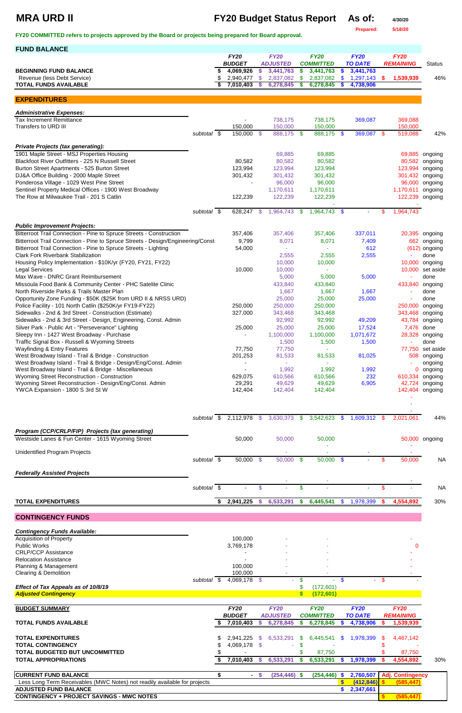# **MRA URD II FY20 Budget Status Report As of: 4/30/20**

**Prepared: 5/18/20**

**FY20 COMMITTED refers to projects approved by the Board or projects being prepared for Board approval.** 

| <b>FUND BALANCE</b>                                                                                                      |             |                        |            |                        |            |                        |                     |                        |      |                          |                    |
|--------------------------------------------------------------------------------------------------------------------------|-------------|------------------------|------------|------------------------|------------|------------------------|---------------------|------------------------|------|--------------------------|--------------------|
|                                                                                                                          |             | <b>FY20</b>            |            | <b>FY20</b>            |            | <b>FY20</b>            |                     | <b>FY20</b>            |      | <b>FY20</b>              |                    |
|                                                                                                                          |             | <b>BUDGET</b>          |            | <b>ADJUSTED</b>        |            | <b>COMMITTED</b>       |                     | <b>TO DATE</b>         |      | <b>REMAINING</b>         | <b>Status</b>      |
| <b>BEGINNING FUND BALANCE</b><br>Revenue (less Debt Service)                                                             |             | 4,069,926<br>2,940,477 | \$<br>\$   | 3,441,763<br>2,837,082 | \$<br>\$   | 3,441,763<br>2,837,082 | $\frac{2}{3}$<br>\$ | 3,441,763<br>1,297,143 | \$   | 1,539,939                | 46%                |
| <b>TOTAL FUNDS AVAILABLE</b>                                                                                             |             | 7,010,403              | S          | 6,278,845              | \$         | 6,278,845              | S                   | 4,738,906              |      |                          |                    |
|                                                                                                                          |             |                        |            |                        |            |                        |                     |                        |      |                          |                    |
| <b>EXPENDITURES</b>                                                                                                      |             |                        |            |                        |            |                        |                     |                        |      |                          |                    |
| <b>Administrative Expenses:</b>                                                                                          |             |                        |            |                        |            |                        |                     |                        |      |                          |                    |
| <b>Tax Increment Remittance</b>                                                                                          |             |                        |            | 738,175                |            | 738,175                |                     | 369,087                |      | 369,088                  |                    |
| Transfers to URD III                                                                                                     |             | 150,000                |            | 150,000                |            | 150,000                |                     |                        |      | 150,000                  |                    |
|                                                                                                                          | subtotal \$ | 150,000 \$             |            | 888,175 \$             |            | 888,175 \$             |                     | 369,087 \$             |      | 519,088                  | 42%                |
| <b>Private Projects (tax generating):</b>                                                                                |             |                        |            |                        |            |                        |                     |                        |      |                          |                    |
| 1901 Maple Street - MSJ Properties Housing                                                                               |             |                        |            | 69,885                 |            | 69,885                 |                     |                        |      |                          | 69,885 ongoing     |
| Blackfoot River Outfitters - 225 N Russell Street                                                                        |             | 80,582                 |            | 80,582                 |            | 80,582                 |                     |                        |      | 80,582                   | ongoing            |
| Burton Street Apartments - 525 Burton Street                                                                             |             | 123,994                |            | 123,994                |            | 123,994                |                     |                        |      | 123,994                  | ongoing            |
| DJ&A Office Building - 2000 Maple Street                                                                                 |             | 301,432                |            | 301,432                |            | 301,432                |                     |                        |      | 301,432                  | ongoing            |
| Ponderosa Village - 1029 West Pine Street                                                                                |             |                        |            | 96,000                 |            | 96,000                 |                     |                        |      | 96,000                   | ongoing            |
| Sentinel Property Medical Offices - 1900 West Broadway                                                                   |             |                        |            | 1,170,611              |            | 1,170,611              |                     |                        |      | 1,170,611                | ongoing            |
| The Row at Milwaukee Trail - 201 S Catlin                                                                                |             | 122,239                |            | 122,239                |            | 122,239                |                     |                        |      | 122,239                  | ongoing            |
|                                                                                                                          | subtotal \$ | 628,247                | - \$       | 1,964,743              | \$.        | 1,964,743              | - \$                |                        | \$   | 1,964,743                |                    |
|                                                                                                                          |             |                        |            |                        |            |                        |                     |                        |      |                          |                    |
| <b>Public Improvement Projects:</b>                                                                                      |             |                        |            |                        |            |                        |                     |                        |      |                          |                    |
| Bitterroot Trail Connection - Pine to Spruce Streets - Construction                                                      |             | 357,406                |            | 357,406                |            | 357,406                |                     | 337,011                |      | 20,395                   | ongoing            |
| Bitterroot Trail Connection - Pine to Spruce Streets - Design/Engineering/Const                                          |             | 9,799                  |            | 8,071                  |            | 8,071                  |                     | 7,409                  |      | 662                      | ongoing            |
| Bitterroot Trail Connection - Pine to Spruce Streets - Lighting                                                          |             | 54,000                 |            |                        |            |                        |                     | 612                    |      | (612)                    | ongoing            |
| <b>Clark Fork Riverbank Stabilization</b>                                                                                |             |                        |            | 2,555                  |            | 2,555                  |                     | 2,555                  |      |                          | done               |
| Housing Policy Implementation - \$10K/yr (FY20, FY21, FY22)                                                              |             |                        |            | 10,000                 |            | 10,000                 |                     |                        |      | 10,000                   | ongoing            |
| <b>Legal Services</b><br>Max Wave - DNRC Grant Reimbursement                                                             |             | 10,000                 |            | 10,000<br>5,000        |            | 5,000                  |                     | 5,000                  |      | 10,000<br>$\blacksquare$ | set aside<br>done  |
| Missoula Food Bank & Community Center - PHC Satelite Clinic                                                              |             |                        |            | 433,840                |            | 433,840                |                     |                        |      | 433,840                  | ongoing            |
| North Riverside Parks & Trails Master Plan                                                                               |             |                        |            | 1,667                  |            | 1,667                  |                     | 1,667                  |      |                          | done               |
| Opportunity Zone Funding - \$50K (\$25K from URD II & NRSS URD)                                                          |             |                        |            | 25,000                 |            | 25,000                 |                     | 25,000                 |      |                          | done               |
| Police Facility - 101 North Catlin (\$250K/yr FY19-FY22)                                                                 |             | 250,000                |            | 250,000                |            | 250,000                |                     |                        |      | 250,000 ongoing          |                    |
| Sidewalks - 2nd & 3rd Street - Construction (Estimate)                                                                   |             | 327,000                |            | 343,468                |            | 343,468                |                     |                        |      | 343,468                  | ongoing            |
| Sidewalks - 2nd & 3rd Street - Design, Engineering, Const. Admin                                                         |             |                        |            | 92,992                 |            | 92,992                 |                     | 49,209                 |      | 43,784                   | ongoing            |
| Silver Park - Public Art - "Perseverance" Lighting                                                                       |             | 25,000                 |            | 25,000                 |            | 25,000                 |                     | 17,524                 |      | 7,476                    | done               |
| Sleepy Inn - 1427 West Broadway - Purchase                                                                               |             |                        |            | 1,100,000              |            | 1,100,000              |                     | 1,071,672              |      | 28,328                   | ongoing            |
| Traffic Signal Box - Russell & Wyoming Streets                                                                           |             |                        |            | 1,500                  |            | 1,500                  |                     | 1,500                  |      |                          | done               |
| <b>Wayfinding &amp; Entry Features</b>                                                                                   |             | 77,750                 |            | 77,750                 |            |                        |                     |                        |      | 77,750                   | set aside          |
| West Broadway Island - Trail & Bridge - Construction                                                                     |             | 201,253                |            | 81,533                 |            | 81,533                 |                     | 81,025                 |      | 508                      | ongoing            |
| West Broadway Island - Trail & Bridge - Design/Eng/Const. Admin<br>West Broadway Island - Trail & Bridge - Miscellaneous |             |                        |            | 1,992                  |            | 1,992                  |                     | 1,992                  |      | 0                        | ongoing<br>ongoing |
| Wyoming Street Reconstruction - Construction                                                                             |             | 629,075                |            | 610,566                |            | 610,566                |                     | 232                    |      | 610,334                  | ongoing            |
| Wyoming Street Reconstruction - Design/Eng/Const. Admin                                                                  |             | 29,291                 |            | 49,629                 |            | 49,629                 |                     | 6,905                  |      | 42,724                   | ongoing            |
| YWCA Expansion - 1800 S 3rd St W                                                                                         |             | 142,404                |            | 142,404                |            | 142,404                |                     |                        |      | 142,404                  | ongoing            |
|                                                                                                                          |             |                        |            |                        |            |                        |                     |                        |      |                          |                    |
|                                                                                                                          |             |                        |            |                        |            |                        |                     |                        |      |                          |                    |
|                                                                                                                          | subtotal \$ | 2,112,978              | $\sqrt{3}$ | 3,630,373              | \$         | 3,542,623              | <b>S</b>            | 1,609,312              | - \$ | 2,021,061                | 44%                |
|                                                                                                                          |             |                        |            |                        |            |                        |                     |                        |      |                          |                    |
| Program (CCP/CRLP/FIP) Projects (tax generating)<br>Westside Lanes & Fun Center - 1615 Wyoming Street                    |             | 50,000                 |            | 50,000                 |            | 50,000                 |                     |                        |      |                          | 50,000 ongoing     |
|                                                                                                                          |             |                        |            |                        |            |                        |                     |                        |      |                          |                    |
| Unidentified Program Projects                                                                                            |             |                        |            |                        |            |                        |                     |                        |      |                          |                    |
|                                                                                                                          | subtotal \$ | $50,000$ \$            |            | 50,000                 | $\sqrt{3}$ | $50,000$ \$            |                     |                        | \$   | 50,000                   | <b>NA</b>          |
| <b>Federally Assisted Projects</b>                                                                                       |             |                        |            |                        |            |                        |                     |                        |      |                          |                    |
|                                                                                                                          |             |                        |            |                        |            |                        |                     |                        |      |                          |                    |
|                                                                                                                          | subtotal \$ |                        | \$         |                        | \$         |                        |                     |                        | \$   |                          | <b>NA</b>          |
| <b>TOTAL EXPENDITURES</b>                                                                                                |             | \$<br>2,941,225        | \$         | 6,533,291              | \$         | 6,445,541              | \$                  | 1,978,399              | S    | 4,554,892                | 30%                |

**CONTINGENCY FUNDS**

| <b>Contingency Funds Available:</b>                                       |                |             |                 |     |                  |              |                |        |                         |     |
|---------------------------------------------------------------------------|----------------|-------------|-----------------|-----|------------------|--------------|----------------|--------|-------------------------|-----|
| <b>Acquisition of Property</b>                                            | 100,000        |             |                 |     |                  |              |                |        |                         |     |
| <b>Public Works</b>                                                       | 3,769,178      |             |                 |     |                  |              |                |        | $\Omega$                |     |
| <b>CRLP/CCP Assistance</b>                                                |                |             |                 |     |                  |              |                |        |                         |     |
| <b>Relocation Assistance</b>                                              |                |             |                 |     |                  |              |                |        |                         |     |
| Planning & Management                                                     | 100,000        |             |                 |     |                  |              |                |        |                         |     |
| Clearing & Demolition                                                     | 100,000        |             |                 |     |                  |              |                |        |                         |     |
| subtotal \$                                                               | 4,069,178 \$   |             |                 |     |                  | \$.          |                | $-$ \$ |                         |     |
| Effect of Tax Appeals as of 10/8/19                                       |                |             |                 |     | (172, 601)       |              |                |        |                         |     |
| <b>Adjusted Contingency</b>                                               |                |             |                 |     | (172, 601)       |              |                |        |                         |     |
|                                                                           |                |             |                 |     |                  |              |                |        |                         |     |
| <b>BUDGET SUMMARY</b>                                                     | <b>FY20</b>    |             | <b>FY20</b>     |     | <b>FY20</b>      |              | <b>FY20</b>    |        | <b>FY20</b>             |     |
|                                                                           | <b>BUDGET</b>  |             | <b>ADJUSTED</b> |     | <b>COMMITTED</b> |              | <b>TO DATE</b> |        | <b>REMAINING</b>        |     |
| <b>TOTAL FUNDS AVAILABLE</b>                                              | 7,010,403      |             | 6,278,845       | S.  | 6,278,845        |              | 4,738,906      |        | 1,539,939               |     |
|                                                                           |                |             |                 |     |                  |              |                |        |                         |     |
| <b>TOTAL EXPENDITURES</b>                                                 | 2,941,225      | -SS         | 6,533,291       | \$. | 6,445,541        | <b>S</b>     | 1,978,399      | S      | 4,467,142               |     |
| <b>TOTAL CONTINGENCY</b>                                                  | 4,069,178 \$   |             |                 |     |                  |              |                |        |                         |     |
| <b>TOTAL BUDGETED BUT UNCOMMITTED</b>                                     |                |             |                 |     | 87,750           |              |                |        | 87,750                  |     |
| <b>TOTAL APPROPRIATIONS</b>                                               | 7,010,403      | -5          | 6,533,291       |     | 6,533,291        | S.           | 1,978,399      |        | 4,554,892               | 30% |
|                                                                           |                |             |                 |     |                  |              |                |        |                         |     |
| <b>CURRENT FUND BALANCE</b>                                               | $\blacksquare$ | $\mathbf s$ | $(254, 446)$ \$ |     | (254, 446)       | $\mathbf{s}$ | 2,760,507      |        | <b>Adj. Contingency</b> |     |
| Less Long Term Receivables (MWC Notes) not readily available for projects |                |             |                 |     |                  |              | (412, 846)     |        | (585, 447)              |     |
| <b>ADJUSTED FUND BALANCE</b>                                              |                |             |                 |     |                  |              | 2,347,661      |        |                         |     |
| <b>CONTINGENCY + PROJECT SAVINGS - MWC NOTES</b>                          |                |             |                 |     |                  |              |                |        | (585, 447)              |     |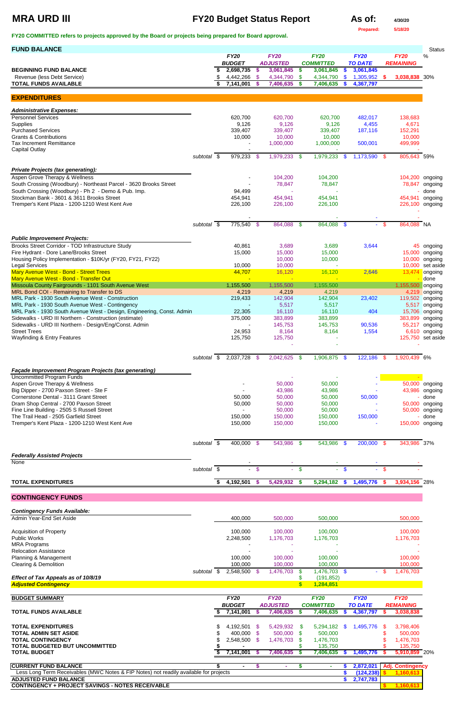# **MRA URD III FY20 Budget Status Report As of: 4/30/20**

**Prepared: 5/18/20**

**FY20 COMMITTED refers to projects approved by the Board or projects being prepared for Board approval.** 

| <b>FUND BALANCE</b>                                                                                                      |                          |    |                            |               |                              |          |                               |               |                             |        |                   | <b>Status</b>                   |
|--------------------------------------------------------------------------------------------------------------------------|--------------------------|----|----------------------------|---------------|------------------------------|----------|-------------------------------|---------------|-----------------------------|--------|-------------------|---------------------------------|
|                                                                                                                          |                          |    | <b>FY20</b>                |               | <b>FY20</b>                  |          | <b>FY20</b>                   |               | <b>FY20</b>                 |        | <b>FY20</b>       | %                               |
| <b>BEGINNING FUND BALANCE</b>                                                                                            |                          | S  | <b>BUDGET</b><br>2,698,735 | $\mathbf{\$}$ | <b>ADJUSTED</b><br>3,061,845 | \$       | <b>COMMITTED</b><br>3,061,845 | S             | <b>TO DATE</b><br>3,061,845 |        | <b>REMAINING</b>  |                                 |
| Revenue (less Debt Service)                                                                                              |                          | S  | 4,442,266                  | -\$           | 4,344,790                    | -\$      | 4,344,790                     | \$            | 1,305,952                   | - \$   | 3,038,838 30%     |                                 |
| <b>TOTAL FUNDS AVAILABLE</b>                                                                                             |                          |    | 7,141,001                  | <b>S</b>      | 7,406,635                    | <b>S</b> | 7,406,635                     | S             | 4,367,797                   |        |                   |                                 |
| <b>EXPENDITURES</b>                                                                                                      |                          |    |                            |               |                              |          |                               |               |                             |        |                   |                                 |
|                                                                                                                          |                          |    |                            |               |                              |          |                               |               |                             |        |                   |                                 |
| <b>Administrative Expenses:</b><br><b>Personnel Services</b>                                                             |                          |    | 620,700                    |               | 620,700                      |          | 620,700                       |               | 482,017                     |        | 138,683           |                                 |
| <b>Supplies</b>                                                                                                          |                          |    | 9,126                      |               | 9,126                        |          | 9,126                         |               | 4,455                       |        | 4,671             |                                 |
| <b>Purchased Services</b>                                                                                                |                          |    | 339,407                    |               | 339,407                      |          | 339,407                       |               | 187,116                     |        | 152,291           |                                 |
| <b>Grants &amp; Contributions</b><br><b>Tax Increment Remittance</b>                                                     |                          |    | 10,000                     |               | 10,000<br>1,000,000          |          | 10,000<br>1,000,000           |               | 500,001                     |        | 10,000<br>499,999 |                                 |
| <b>Capital Outlay</b>                                                                                                    |                          |    |                            |               |                              |          |                               |               |                             |        |                   |                                 |
|                                                                                                                          | subtotal \$              |    | 979,233 \$                 |               | 1,979,233 \$                 |          | 1,979,233                     | $\frac{1}{2}$ | 1,173,590 \$                |        | 805,643 59%       |                                 |
| <b>Private Projects (tax generating):</b>                                                                                |                          |    |                            |               |                              |          |                               |               |                             |        |                   |                                 |
| Aspen Grove Therapy & Wellness                                                                                           |                          |    |                            |               | 104,200                      |          | 104,200                       |               |                             |        | 104,200 ongoing   |                                 |
| South Crossing (Woodbury) - Northeast Parcel - 3620 Brooks Street<br>South Crossing (Woodbury) - Ph 2 - Demo & Pub. Imp. |                          |    | 94,499                     |               | 78,847                       |          | 78,847                        |               |                             |        |                   | 78,847 ongoing<br>done          |
| Stockman Bank - 3601 & 3611 Brooks Street                                                                                |                          |    | 454,941                    |               | 454,941                      |          | 454,941                       |               |                             |        | 454,941           | ongoing                         |
| Tremper's Kent Plaza - 1200-1210 West Kent Ave                                                                           |                          |    | 226,100                    |               | 226,100                      |          | 226,100                       |               |                             |        | 226,100 ongoing   |                                 |
|                                                                                                                          |                          |    |                            |               |                              |          |                               |               |                             |        |                   |                                 |
|                                                                                                                          | subtotal \$              |    | 775,540 \$                 |               | 864,088 \$                   |          | 864,088                       | $\sqrt[6]{3}$ |                             | $-$ \$ | 864,088 NA        |                                 |
| <b>Public Improvement Projects:</b>                                                                                      |                          |    |                            |               |                              |          |                               |               |                             |        |                   |                                 |
| Brooks Street Corridor - TOD Infrastructure Study                                                                        |                          |    | 40,861                     |               | 3,689                        |          | 3,689                         |               | 3,644                       |        |                   | 45 ongoing                      |
| Fire Hydrant - Dore Lane/Brooks Street<br>Housing Policy Implementation - \$10K/yr (FY20, FY21, FY22)                    |                          |    | 15,000                     |               | 15,000<br>10,000             |          | 15,000<br>10,000              |               |                             |        | 15,000<br>10,000  | ongoing<br>ongoing              |
| <b>Legal Services</b>                                                                                                    |                          |    | 10,000                     |               | 10,000                       |          |                               |               |                             |        |                   | 10,000 set aside                |
| <b>Mary Avenue West - Bond - Street Trees</b>                                                                            |                          |    | 44,707                     |               | 16,120                       |          | 16,120                        |               | 2,646                       |        | 13,474            | ongoing                         |
| Mary Avenue West - Bond - Transfer Out<br>Missoula County Fairgrounds - 1101 South Avenue West                           |                          |    | 1,155,500                  |               | 1,155,500                    |          | 1,155,500                     |               |                             |        | 1,155,500         | done                            |
| MRL Bond COI - Remaining to Transfer to DS                                                                               |                          |    | 4,219                      |               | 4,219                        |          | 4,219                         |               |                             |        |                   | ongoing<br>4,219 ongoing        |
| MRL Park - 1930 South Avenue West - Construction                                                                         |                          |    | 219,433                    |               | 142,904                      |          | 142,904                       |               | 23,402                      |        | 119,502 ongoing   |                                 |
| MRL Park - 1930 South Avenue West - Contingency<br>MRL Park - 1930 South Avenue West - Design, Engineering, Const. Admin |                          |    | 22,305                     |               | 5,517<br>16,110              |          | 5,517<br>16,110               |               | 404                         |        |                   | 5,517 ongoing<br>15,706 ongoing |
| Sidewalks - URD III Northern - Construction (estimate)                                                                   |                          |    | 375,000                    |               | 383,899                      |          | 383,899                       |               |                             |        | 383,899 ongoing   |                                 |
| Sidewalks - URD III Northern - Design/Eng/Const. Admin                                                                   |                          |    |                            |               | 145,753                      |          | 145,753                       |               | 90,536                      |        |                   | 55,217 ongoing                  |
| <b>Street Trees</b>                                                                                                      |                          |    | 24,953                     |               | 8,164                        |          | 8,164                         |               | 1,554                       |        |                   | 6,610 ongoing                   |
| <b>Wayfinding &amp; Entry Features</b>                                                                                   |                          |    | 125,750                    |               | 125,750                      |          |                               |               |                             |        | 125,750 set aside |                                 |
|                                                                                                                          | subtotal \$              |    | 2,037,728 \$               |               | 2,042,625 \$                 |          | 1,906,875                     | - \$          | 122,186 \$                  |        | 1,920,439 6%      |                                 |
|                                                                                                                          |                          |    |                            |               |                              |          |                               |               |                             |        |                   |                                 |
| Façade Improvement Program Projects (tax generating)<br><b>Uncommitted Program Funds</b>                                 |                          |    |                            |               |                              |          |                               |               |                             |        |                   |                                 |
| Aspen Grove Therapy & Wellness                                                                                           |                          |    |                            |               | 50,000                       |          | 50,000                        |               |                             |        |                   | 50,000 ongoing                  |
| Big Dipper - 2700 Paxson Street - Ste F<br>Cornerstone Dental - 3111 Grant Street                                        |                          |    |                            |               | 43,986                       |          | 43,986                        |               |                             |        |                   | 43,986 ongoing                  |
| Dram Shop Central - 2700 Paxson Street                                                                                   |                          |    | 50,000<br>50,000           |               | 50,000<br>50,000             |          | 50,000<br>50,000              |               | 50,000                      |        |                   | done<br>50,000 ongoing          |
| Fine Line Building - 2505 S Russell Street                                                                               |                          |    |                            |               | 50,000                       |          | 50,000                        |               |                             |        |                   | 50,000 ongoing                  |
| The Trail Head - 2505 Garfield Street                                                                                    |                          |    | 150,000                    |               | 150,000                      |          | 150,000                       |               | 150,000                     |        |                   | done                            |
| Tremper's Kent Plaza - 1200-1210 West Kent Ave                                                                           |                          |    | 150,000                    |               | 150,000                      |          | 150,000                       |               |                             |        | 150,000 ongoing   |                                 |
|                                                                                                                          | subtotal \$              |    | 400,000 \$                 |               | 543,986 \$                   |          | 543,986 \$                    |               | 200,000 \$                  |        | 343,986 37%       |                                 |
|                                                                                                                          |                          |    |                            |               |                              |          |                               |               |                             |        |                   |                                 |
| <b>Federally Assisted Projects</b><br><b>None</b>                                                                        |                          |    |                            |               |                              |          |                               |               |                             |        |                   |                                 |
|                                                                                                                          | subtotal $\overline{\$}$ |    | $\sim$                     | $\mathcal{S}$ | $\equiv$                     | \$       | $\omega$ .                    | $\mathbf{\$}$ |                             | $-$ \$ |                   |                                 |
| <b>TOTAL EXPENDITURES</b>                                                                                                |                          | \$ | 4,192,501                  | <b>S</b>      | 5,429,932 \$                 |          | 5,294,182                     | <b>S</b>      | 1,495,776                   | - 56   | 3,934,156 28%     |                                 |
|                                                                                                                          |                          |    |                            |               |                              |          |                               |               |                             |        |                   |                                 |
| <b>CONTINGENCY FUNDS</b>                                                                                                 |                          |    |                            |               |                              |          |                               |               |                             |        |                   |                                 |
| <b>Contingency Funds Available:</b>                                                                                      |                          |    |                            |               |                              |          |                               |               |                             |        |                   |                                 |

| <b>Acquisition of Property</b>                                                        |          |   | 100,000       |      | 100,000         |          | 100,000          |     |                |      | 100,000                 |  |
|---------------------------------------------------------------------------------------|----------|---|---------------|------|-----------------|----------|------------------|-----|----------------|------|-------------------------|--|
| <b>Public Works</b>                                                                   |          |   | 2,248,500     |      | 1,176,703       |          | 1,176,703        |     |                |      | 1,176,703               |  |
| <b>MRA Programs</b>                                                                   |          |   |               |      |                 |          |                  |     |                |      |                         |  |
| <b>Relocation Assistance</b>                                                          |          |   |               |      |                 |          |                  |     |                |      |                         |  |
| Planning & Management                                                                 |          |   | 100,000       |      | 100,000         |          | 100,000          |     |                |      | 100,000                 |  |
| Clearing & Demolition                                                                 |          |   | 100,000       |      | 100,000         |          | 100,000          |     |                |      | 100,000                 |  |
|                                                                                       | subtotal | S | 2,548,500 \$  |      | 1,476,703       | <b>S</b> | 1,476,703        | \$. |                | - \$ | 1,476,703               |  |
| Effect of Tax Appeals as of 10/8/19                                                   |          |   |               |      |                 |          | (191,852)        |     |                |      |                         |  |
| <b>Adjusted Contingency</b>                                                           |          |   |               |      |                 |          | 1,284,851        |     |                |      |                         |  |
|                                                                                       |          |   |               |      |                 |          |                  |     |                |      |                         |  |
| <b>BUDGET SUMMARY</b>                                                                 |          |   | <b>FY20</b>   |      | <b>FY20</b>     |          | <b>FY20</b>      |     | <b>FY20</b>    |      | <b>FY20</b>             |  |
|                                                                                       |          |   | <b>BUDGET</b> |      | <b>ADJUSTED</b> |          | <b>COMMITTED</b> |     | <b>TO DATE</b> |      | <b>REMAINING</b>        |  |
| <b>TOTAL FUNDS AVAILABLE</b>                                                          |          |   | 7,141,001     |      | 7,406,635       | S        | 7,406,635        | S.  | 4,367,797      |      | 3,038,838               |  |
| <b>TOTAL EXPENDITURES</b>                                                             |          |   | 4,192,501     | - \$ | 5,429,932       | S        | 5,294,182        | S.  | 1,495,776      | S    | 3,798,406               |  |
| <b>TOTAL ADMIN SET ASIDE</b>                                                          |          |   | 400,000 \$    |      | 500,000         | <b>S</b> | 500,000          |     |                |      | 500,000                 |  |
| <b>TOTAL CONTINGENCY</b>                                                              |          |   | 2,548,500     | - \$ | 1,476,703       |          | 1,476,703        |     |                |      | 1,476,703               |  |
| TOTAL BUDGETED BUT UNCOMMITTED                                                        |          |   |               |      |                 |          | 135,750          |     |                |      | 135,750                 |  |
| <b>TOTAL BUDGET</b>                                                                   |          |   | 7,141,001     |      | 7,406,635       |          | 7,406,635        |     | 1,495,776      |      | 5,910,859 20%           |  |
| <b>CURRENT FUND BALANCE</b>                                                           |          |   | -             | \$.  | ٠               |          | ٠                |     | 2,872,021      |      | <b>Adj. Contingency</b> |  |
| Less Long Term Receivables (MWC Notes & FIP Notes) not readily available for projects |          |   |               |      |                 |          |                  |     | (124, 238)     |      | 1,160,613               |  |
| <b>ADJUSTED FUND BALANCE</b>                                                          |          |   |               |      |                 |          |                  |     | 2,747,783      |      |                         |  |
| <b>CONTINGENCY + PROJECT SAVINGS - NOTES RECEIVABLE</b>                               |          |   |               |      |                 |          |                  |     |                |      | 1,160,613               |  |
|                                                                                       |          |   |               |      |                 |          |                  |     |                |      |                         |  |

Admin Year-End Set Aside 600,000 500,000 500,000 500,000 500,000 500,000 500,000 500,000 500,000 500,000 500,000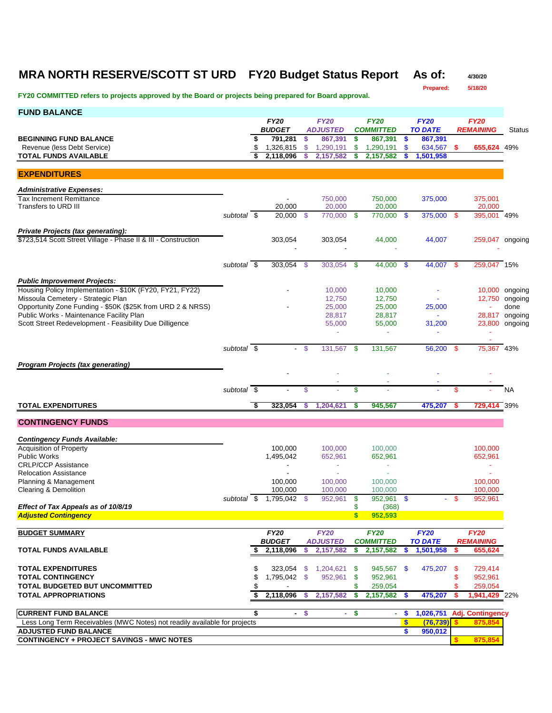### **MRA NORTH RESERVE/SCOTT ST URD FY20 Budget Status Report As of: 4/30/20**

**Prepared: 5/18/20**

| <b>FUND BALANCE</b>                                                                             |                          |                                |               |                                |                           |                                 |          |                               |     |                                 |                |
|-------------------------------------------------------------------------------------------------|--------------------------|--------------------------------|---------------|--------------------------------|---------------------------|---------------------------------|----------|-------------------------------|-----|---------------------------------|----------------|
|                                                                                                 |                          | <b>FY20</b>                    |               | <b>FY20</b>                    |                           | <b>FY20</b>                     |          | <b>FY20</b>                   |     | <b>FY20</b>                     |                |
| <b>BEGINNING FUND BALANCE</b>                                                                   |                          | \$<br><b>BUDGET</b><br>791,281 | -S            | <b>ADJUSTED</b><br>867,391     | $\boldsymbol{\mathsf{s}}$ | <b>COMMITTED</b><br>867,391     | -\$      | <b>TO DATE</b><br>867,391     |     | <b>REMAINING</b>                | <b>Status</b>  |
| Revenue (less Debt Service)                                                                     |                          | \$<br>1,326,815                | $\mathcal{S}$ | 1,290,191                      | \$                        | 1,290,191                       | \$       | 634,567                       | -S  | 655,624 49%                     |                |
| <b>TOTAL FUNDS AVAILABLE</b>                                                                    |                          | 2,118,096                      |               | 2,157,582                      | \$                        | 2,157,582                       |          | 1,501,958                     |     |                                 |                |
|                                                                                                 |                          |                                |               |                                |                           |                                 |          |                               |     |                                 |                |
| <b>EXPENDITURES</b>                                                                             |                          |                                |               |                                |                           |                                 |          |                               |     |                                 |                |
| <b>Administrative Expenses:</b>                                                                 |                          |                                |               |                                |                           |                                 |          |                               |     |                                 |                |
| <b>Tax Increment Remittance</b>                                                                 |                          | $\blacksquare$                 |               | 750,000                        |                           | 750,000                         |          | 375,000                       |     | 375,001                         |                |
| Transfers to URD III                                                                            | subtotal \$              | 20.000<br>20,000               | -\$           | 20,000<br>770,000 \$           |                           | 20,000<br>770,000               | -\$      | 375,000 \$                    |     | 20,000<br>395,001 49%           |                |
|                                                                                                 |                          |                                |               |                                |                           |                                 |          |                               |     |                                 |                |
| <b>Private Projects (tax generating):</b>                                                       |                          |                                |               |                                |                           |                                 |          |                               |     |                                 |                |
| \$723,514 Scott Street Village - Phase II & III - Construction                                  |                          | 303,054                        |               | 303,054                        |                           | 44,000                          |          | 44,007                        |     | 259,047 ongoing                 |                |
|                                                                                                 |                          |                                |               |                                |                           |                                 |          |                               |     |                                 |                |
|                                                                                                 | subtotal \$              | 303,054 \$                     |               | $303,054$ \$                   |                           | $44,000$ \$                     |          | 44,007 \$                     |     | 259,047 15%                     |                |
|                                                                                                 |                          |                                |               |                                |                           |                                 |          |                               |     |                                 |                |
| <b>Public Improvement Projects:</b><br>Housing Policy Implementation - \$10K (FY20, FY21, FY22) |                          |                                |               | 10,000                         |                           | 10,000                          |          |                               |     |                                 | 10,000 ongoing |
| Missoula Cemetery - Strategic Plan                                                              |                          |                                |               | 12,750                         |                           | 12,750                          |          |                               |     |                                 | 12,750 ongoing |
| Opportunity Zone Funding - \$50K (\$25K from URD 2 & NRSS)                                      |                          |                                |               | 25,000                         |                           | 25,000                          |          | 25,000                        |     |                                 | done           |
| Public Works - Maintenance Facility Plan                                                        |                          |                                |               | 28,817                         |                           | 28,817                          |          | $\blacksquare$                |     |                                 | 28,817 ongoing |
| Scott Street Redevelopment - Feasibility Due Dilligence                                         |                          |                                |               | 55,000                         |                           | 55,000                          |          | 31,200                        |     |                                 | 23,800 ongoing |
|                                                                                                 |                          |                                |               | $\omega$                       |                           | $\sim$                          |          |                               |     |                                 |                |
|                                                                                                 | subtotal $\overline{\$}$ |                                | - \$          | 131,567                        | - \$                      | 131,567                         |          | 56,200 \$                     |     | 75,367 43%                      |                |
|                                                                                                 |                          |                                |               |                                |                           |                                 |          |                               |     |                                 |                |
| <b>Program Projects (tax generating)</b>                                                        |                          |                                |               |                                |                           |                                 |          |                               |     |                                 |                |
|                                                                                                 |                          |                                |               |                                |                           |                                 |          |                               |     |                                 |                |
|                                                                                                 | subtotal $\overline{\$}$ |                                | \$            |                                | \$                        | ٠                               |          |                               | \$  |                                 | <b>NA</b>      |
| <b>TOTAL EXPENDITURES</b>                                                                       |                          | \$<br>323,054                  | s             | 1,204,621                      | \$                        | 945,567                         |          | 475,207                       | s   | <b>729,414</b> 39%              |                |
|                                                                                                 |                          |                                |               |                                |                           |                                 |          |                               |     |                                 |                |
| <b>CONTINGENCY FUNDS</b>                                                                        |                          |                                |               |                                |                           |                                 |          |                               |     |                                 |                |
|                                                                                                 |                          |                                |               |                                |                           |                                 |          |                               |     |                                 |                |
| <b>Contingency Funds Available:</b><br><b>Acquisition of Property</b>                           |                          | 100,000                        |               | 100,000                        |                           | 100,000                         |          |                               |     | 100,000                         |                |
| <b>Public Works</b>                                                                             |                          | 1,495,042                      |               | 652,961                        |                           | 652,961                         |          |                               |     | 652,961                         |                |
| <b>CRLP/CCP Assistance</b>                                                                      |                          |                                |               | ÷                              |                           | $\sim$                          |          |                               |     | $\sim$                          |                |
| <b>Relocation Assistance</b>                                                                    |                          |                                |               |                                |                           |                                 |          |                               |     |                                 |                |
| Planning & Management                                                                           |                          | 100,000                        |               | 100,000                        |                           | 100,000                         |          |                               |     | 100,000                         |                |
| Clearing & Demolition                                                                           | subtotal \$              | 100,000<br>1,795,042           | -\$           | 100,000<br>952,961             | \$                        | 100,000<br>952,961              | <b>S</b> | $\sim$                        | -\$ | 100,000<br>952,961              |                |
| Effect of Tax Appeals as of 10/8/19                                                             |                          |                                |               |                                | \$                        | (368)                           |          |                               |     |                                 |                |
| <b>Adjusted Contingency</b>                                                                     |                          |                                |               |                                | $\mathbf{s}$              | 952,593                         |          |                               |     |                                 |                |
|                                                                                                 |                          |                                |               |                                |                           |                                 |          |                               |     |                                 |                |
| <b>BUDGET SUMMARY</b>                                                                           |                          | <b>FY20</b><br><b>BUDGET</b>   |               | <b>FY20</b><br><b>ADJUSTED</b> |                           | <b>FY20</b><br><b>COMMITTED</b> |          | <b>FY20</b><br><b>TO DATE</b> |     | <b>FY20</b><br><b>REMAINING</b> |                |
| <b>TOTAL FUNDS AVAILABLE</b>                                                                    |                          | \$<br>2,118,096                | \$            | 2,157,582                      | \$                        | 2,157,582                       | S        | 1,501,958                     | \$  | 655,624                         |                |
|                                                                                                 |                          |                                |               |                                |                           |                                 |          |                               |     |                                 |                |
| <b>TOTAL EXPENDITURES</b>                                                                       |                          | \$<br>323,054                  |               | \$1,204,621                    | - \$                      | 945,567 \$                      |          | 475,207                       | \$  | 729,414                         |                |
| <b>TOTAL CONTINGENCY</b>                                                                        |                          | \$<br>1,795,042 \$             |               | 952,961                        | \$                        | 952,961                         |          |                               | \$  | 952,961                         |                |
| <b>TOTAL BUDGETED BUT UNCOMMITTED</b>                                                           |                          | \$                             |               |                                | \$                        | 259,054                         |          |                               | \$  | 259,054                         |                |
| <b>TOTAL APPROPRIATIONS</b>                                                                     |                          | \$<br>2,118,096                | s.            | 2,157,582                      | \$                        | 2,157,582                       | s.       | 475,207                       | \$  | 1,941,429 22%                   |                |
| <b>CURRENT FUND BALANCE</b>                                                                     |                          | \$<br>$\blacksquare$           | $\frac{1}{2}$ | $\sim$                         | \$                        | $\blacksquare$                  | \$       | 1,026,751                     |     | <b>Adj. Contingency</b>         |                |
| Less Long Term Receivables (MWC Notes) not readily available for projects                       |                          |                                |               |                                |                           |                                 | \$       | (76, 739)                     |     | 875,854                         |                |
| <b>ADJUSTED FUND BALANCE</b>                                                                    |                          |                                |               |                                |                           |                                 | \$       | 950,012                       |     |                                 |                |
| <b>CONTINGENCY + PROJECT SAVINGS - MWC NOTES</b>                                                |                          |                                |               |                                |                           |                                 |          |                               |     | 875,854                         |                |